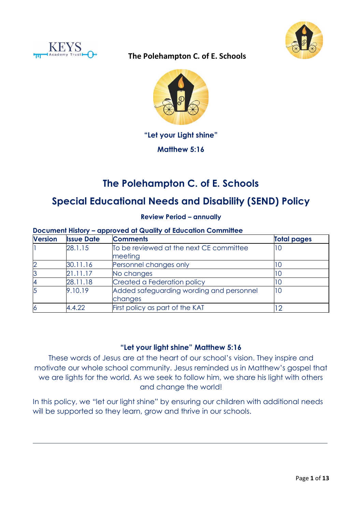





# **"Let your Light shine"**

**Matthew 5:16**

# **The Polehampton C. of E. Schools**

# **Special Educational Needs and Disability (SEND) Policy**

**Review Period – annually**

#### **Document History – approved at Quality of Education Committee**

| <b>Version</b> | <b>Issue Date</b> | <b>Comments</b>                                     | <b>Total pages</b> |
|----------------|-------------------|-----------------------------------------------------|--------------------|
|                | 28.1.15           | To be reviewed at the next CE committee<br>meeting  | 10                 |
|                | 30.11.16          | Personnel changes only                              |                    |
|                | 21.11.17          | No changes                                          | l C                |
|                | 28.11.18          | Created a Federation policy                         |                    |
|                | 9.10.19           | Added safeguarding wording and personnel<br>changes | 10                 |
|                | 4.4.22            | First policy as part of the KAT                     |                    |

## **"Let your light shine" Matthew 5:16**

These words of Jesus are at the heart of our school's vision. They inspire and motivate our whole school community. Jesus reminded us in Matthew's gospel that we are lights for the world. As we seek to follow him, we share his light with others and change the world!

In this policy, we "let our light shine" by ensuring our children with additional needs will be supported so they learn, grow and thrive in our schools.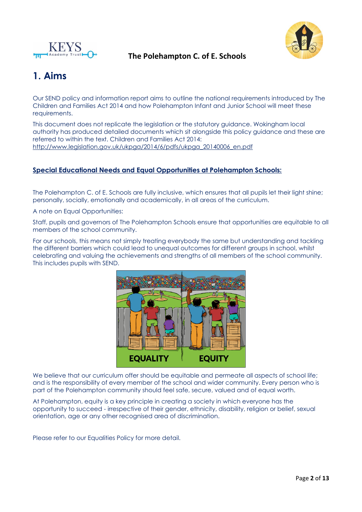



# **1. Aims**

Our SEND policy and information report aims to outline the national requirements introduced by The Children and Families Act 2014 and how Polehampton Infant and Junior School will meet these requirements.

This document does not replicate the legislation or the statutory guidance. Wokingham local authority has produced detailed documents which sit alongside this policy guidance and these are referred to within the text. Children and Families Act 2014: [http://www.legislation.gov.uk/ukpga/2014/6/pdfs/ukpga\\_20140006\\_en.pdf](http://www.legislation.gov.uk/ukpga/2014/6/pdfs/ukpga_20140006_en.pdf)

#### **Special Educational Needs and Equal Opportunities at Polehampton Schools:**

The Polehampton C. of E. Schools are fully inclusive, which ensures that all pupils let their light shine; personally, socially, emotionally and academically, in all areas of the curriculum.

A note on Equal Opportunities:

Staff, pupils and governors of The Polehampton Schools ensure that opportunities are equitable to all members of the school community.

For our schools, this means not simply treating everybody the same but understanding and tackling the different barriers which could lead to unequal outcomes for different groups in school, whilst celebrating and valuing the achievements and strengths of all members of the school community. This includes pupils with SEND.



We believe that our curriculum offer should be equitable and permeate all aspects of school life; and is the responsibility of every member of the school and wider community. Every person who is part of the Polehampton community should feel safe, secure, valued and of equal worth.

At Polehampton, equity is a key principle in creating a society in which everyone has the opportunity to succeed - irrespective of their gender, ethnicity, disability, religion or belief, sexual orientation, age or any other recognised area of discrimination.

Please refer to our Equalities Policy for more detail.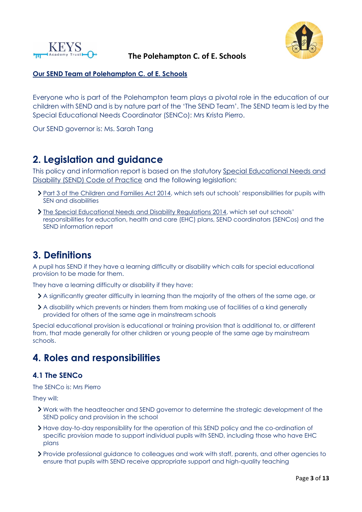



### **Our SEND Team at Polehampton C. of E. Schools**

Everyone who is part of the Polehampton team plays a pivotal role in the education of our children with SEND and is by nature part of the 'The SEND Team'. The SEND team is led by the Special Educational Needs Coordinator (SENCo): Mrs Krista Pierro.

Our SEND governor is: Ms. Sarah Tang

# **2. Legislation and guidance**

This policy and information report is based on the statutory [Special Educational Needs and](https://www.gov.uk/government/uploads/system/uploads/attachment_data/file/398815/SEND_Code_of_Practice_January_2015.pdf)  [Disability \(SEND\) Code of Practice](https://www.gov.uk/government/uploads/system/uploads/attachment_data/file/398815/SEND_Code_of_Practice_January_2015.pdf) and the following legislation:

- > [Part 3 of the Children and Families Act 2014](http://www.legislation.gov.uk/ukpga/2014/6/part/3), which sets out schools' responsibilities for pupils with SEN and disabilities
- [The Special Educational Needs and Disability Regulations 2014](http://www.legislation.gov.uk/uksi/2014/1530/contents/made), which set out schools' responsibilities for education, health and care (EHC) plans, SEND coordinators (SENCos) and the SEND information report

# **3. Definitions**

A pupil has SEND if they have a learning difficulty or disability which calls for special educational provision to be made for them.

They have a learning difficulty or disability if they have:

- A significantly greater difficulty in learning than the majority of the others of the same age, or
- A disability which prevents or hinders them from making use of facilities of a kind generally provided for others of the same age in mainstream schools

Special educational provision is educational or training provision that is additional to, or different from, that made generally for other children or young people of the same age by mainstream schools.

# **4. Roles and responsibilities**

### **4.1 The SENCo**

The SENCo is: Mrs Pierro

They will:

- Work with the headteacher and SEND governor to determine the strategic development of the SEND policy and provision in the school
- Have day-to-day responsibility for the operation of this SEND policy and the co-ordination of specific provision made to support individual pupils with SEND, including those who have EHC plans
- Provide professional guidance to colleagues and work with staff, parents, and other agencies to ensure that pupils with SEND receive appropriate support and high-quality teaching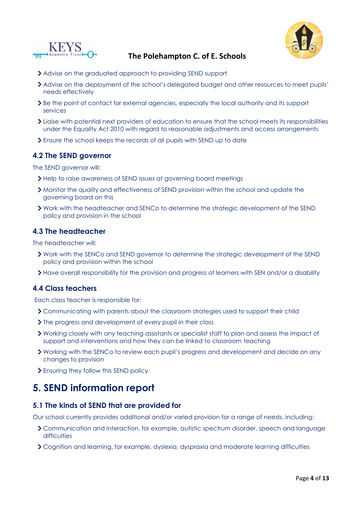



- Advise on the graduated approach to providing SEND support
- Advise on the deployment of the school's delegated budget and other resources to meet pupils' needs effectively
- > Be the point of contact for external agencies, especially the local authority and its support services
- Liaise with potential next providers of education to ensure that the school meets its responsibilities under the Equality Act 2010 with regard to reasonable adjustments and access arrangements
- Ensure the school keeps the records of all pupils with SEND up to date

### **4.2 The SEND governor**

The SEND governor will:

- > Help to raise awareness of SEND issues at governing board meetings
- Monitor the quality and effectiveness of SEND provision within the school and update the governing board on this
- Work with the headteacher and SENCo to determine the strategic development of the SEND policy and provision in the school

#### **4.3 The headteacher**

The headteacher will:

- Work with the SENCo and SEND governor to determine the strategic development of the SEND policy and provision within the school
- Have overall responsibility for the provision and progress of learners with SEN and/or a disability

#### **4.4 Class teachers**

Each class teacher is responsible for:

- Communicating with parents about the classroom strategies used to support their child
- > The progress and development of every pupil in their class
- Working closely with any teaching assistants or specialist staff to plan and assess the impact of support and interventions and how they can be linked to classroom teaching
- Working with the SENCo to review each pupil's progress and development and decide on any changes to provision
- Ensuring they follow this SEND policy

# **5. SEND information report**

#### **5.1 The kinds of SEND that are provided for**

Our school currently provides additional and/or varied provision for a range of needs, including:

- Communication and interaction, for example, autistic spectrum disorder, speech and language difficulties
- Cognition and learning, for example, dyslexia, dyspraxia and moderate learning difficulties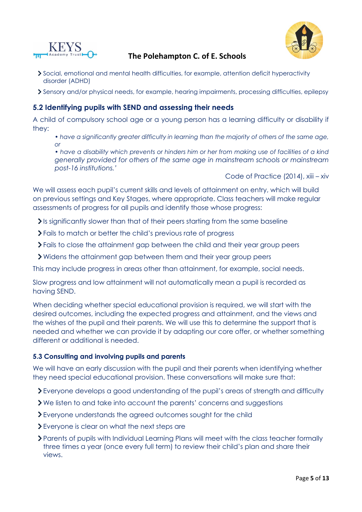



- Social, emotional and mental health difficulties, for example, attention deficit hyperactivity disorder (ADHD)
- Sensory and/or physical needs, for example, hearing impairments, processing difficulties, epilepsy

## **5.2 Identifying pupils with SEND and assessing their needs**

A child of compulsory school age or a young person has a learning difficulty or disability if they:

- *have a significantly greater difficulty in learning than the majority of others of the same age, or*
- *have a disability which prevents or hinders him or her from making use of facilities of a kind generally provided for others of the same age in mainstream schools or mainstream post-16 institutions.'*

Code of Practice (2014), xiii – xiv

We will assess each pupil's current skills and levels of attainment on entry, which will build on previous settings and Key Stages, where appropriate. Class teachers will make regular assessments of progress for all pupils and identify those whose progress:

Is significantly slower than that of their peers starting from the same baseline

- Fails to match or better the child's previous rate of progress
- Fails to close the attainment gap between the child and their year group peers
- Widens the attainment gap between them and their year group peers

This may include progress in areas other than attainment, for example, social needs.

Slow progress and low attainment will not automatically mean a pupil is recorded as having SEND.

When deciding whether special educational provision is required, we will start with the desired outcomes, including the expected progress and attainment, and the views and the wishes of the pupil and their parents. We will use this to determine the support that is needed and whether we can provide it by adapting our core offer, or whether something different or additional is needed.

#### **5.3 Consulting and involving pupils and parents**

We will have an early discussion with the pupil and their parents when identifying whether they need special educational provision. These conversations will make sure that:

Everyone develops a good understanding of the pupil's areas of strength and difficulty

- We listen to and take into account the parents' concerns and suggestions
- Everyone understands the agreed outcomes sought for the child
- Everyone is clear on what the next steps are
- Parents of pupils with Individual Learning Plans will meet with the class teacher formally three times a year (once every full term) to review their child's plan and share their views.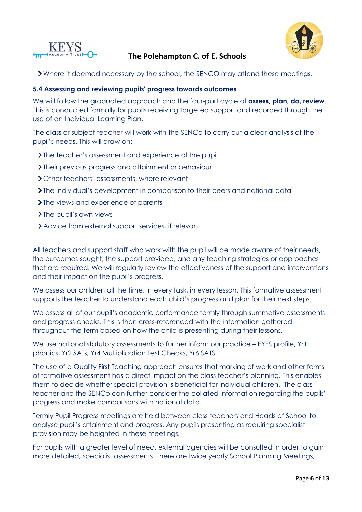



Where it deemed necessary by the school, the SENCO may attend these meetings.

#### **5.4 Assessing and reviewing pupils' progress towards outcomes**

We will follow the graduated approach and the four-part cycle of **assess, plan, do, review**. This is conducted formally for pupils receiving targeted support and recorded through the use of an Individual Learning Plan.

The class or subject teacher will work with the SENCo to carry out a clear analysis of the pupil's needs. This will draw on:

- > The teacher's assessment and experience of the pupil
- Their previous progress and attainment or behaviour
- > Other teachers' assessments, where relevant
- The individual's development in comparison to their peers and national data
- Ine views and experience of parents
- > The pupil's own views
- Advice from external support services, if relevant

All teachers and support staff who work with the pupil will be made aware of their needs, the outcomes sought, the support provided, and any teaching strategies or approaches that are required. We will regularly review the effectiveness of the support and interventions and their impact on the pupil's progress.

We assess our children all the time, in every task, in every lesson. This formative assessment supports the teacher to understand each child's progress and plan for their next steps.

We assess all of our pupil's academic performance termly through summative assessments and progress checks. This is then cross-referenced with the information gathered throughout the term based on how the child is presenting during their lessons.

We use national statutory assessments to further inform our practice – EYFS profile, Yr1 phonics, Yr2 SATs, Yr4 Multiplication Test Checks, Yr6 SATS.

The use of a Quality First Teaching approach ensures that marking of work and other forms of formative assessment has a direct impact on the class teacher's planning. This enables them to decide whether special provision is beneficial for individual children. The class teacher and the SENCo can further consider the collated information regarding the pupils' progress and make comparisons with national data.

Termly Pupil Progress meetings are held between class teachers and Heads of School to analyse pupil's attainment and progress. Any pupils presenting as requiring specialist provision may be heighted in these meetings.

For pupils with a greater level of need, external agencies will be consulted in order to gain more detailed, specialist assessments. There are twice yearly School Planning Meetings,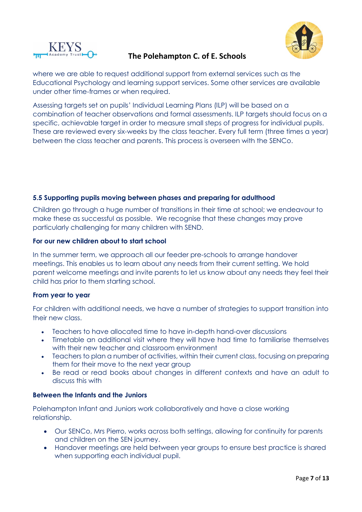



where we are able to request additional support from external services such as the Educational Psychology and learning support services. Some other services are available under other time-frames or when required.

Assessing targets set on pupils' Individual Learning Plans (ILP) will be based on a combination of teacher observations and formal assessments. ILP targets should focus on a specific, achievable target in order to measure small steps of progress for individual pupils. These are reviewed every six-weeks by the class teacher. Every full term (three times a year) between the class teacher and parents. This process is overseen with the SENCo.

### **5.5 Supporting pupils moving between phases and preparing for adulthood**

Children go through a huge number of transitions in their time at school; we endeavour to make these as successful as possible. We recognise that these changes may prove particularly challenging for many children with SEND.

#### **For our new children about to start school**

In the summer term, we approach all our feeder pre-schools to arrange handover meetings. This enables us to learn about any needs from their current setting. We hold parent welcome meetings and invite parents to let us know about any needs they feel their child has prior to them starting school.

### **From year to year**

For children with additional needs, we have a number of strategies to support transition into their new class.

- Teachers to have allocated time to have in-depth hand-over discussions
- Timetable an additional visit where they will have had time to familiarise themselves with their new teacher and classroom environment
- Teachers to plan a number of activities, within their current class, focusing on preparing them for their move to the next year group
- Be read or read books about changes in different contexts and have an adult to discuss this with

#### **Between the Infants and the Juniors**

Polehampton Infant and Juniors work collaboratively and have a close working relationship.

- Our SENCo, Mrs Pierro, works across both settings, allowing for continuity for parents and children on the SEN journey.
- Handover meetings are held between year groups to ensure best practice is shared when supporting each individual pupil.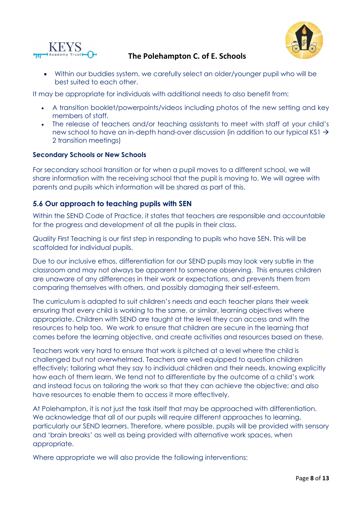



• Within our buddies system, we carefully select an older/younger pupil who will be best suited to each other.

It may be appropriate for individuals with additional needs to also benefit from:

- A transition booklet/powerpoints/videos including photos of the new setting and key members of staff.
- The release of teachers and/or teaching assistants to meet with staff at your child's new school to have an in-depth hand-over discussion (in addition to our typical KS1 → 2 transition meetings)

#### **Secondary Schools or New Schools**

For secondary school transition or for when a pupil moves to a different school, we will share information with the receiving school that the pupil is moving to. We will agree with parents and pupils which information will be shared as part of this.

## **5.6 Our approach to teaching pupils with SEN**

Within the SEND Code of Practice, it states that teachers are responsible and accountable for the progress and development of all the pupils in their class.

Quality First Teaching is our first step in responding to pupils who have SEN. This will be scaffolded for individual pupils.

Due to our inclusive ethos, differentiation for our SEND pupils may look very subtle in the classroom and may not always be apparent to someone observing. This ensures children are unaware of any differences in their work or expectations, and prevents them from comparing themselves with others, and possibly damaging their self-esteem.

The curriculum is adapted to suit children's needs and each teacher plans their week ensuring that every child is working to the same, or similar, learning objectives where appropriate. Children with SEND are taught at the level they can access and with the resources to help too. We work to ensure that children are secure in the learning that comes before the learning objective, and create activities and resources based on these.

Teachers work very hard to ensure that work is pitched at a level where the child is challenged but not overwhelmed. Teachers are well equipped to question children effectively; tailoring what they say to individual children and their needs, knowing explicitly how each of them learn. We tend not to differentiate by the outcome of a child's work and instead focus on tailoring the work so that they can achieve the objective; and also have resources to enable them to access it more effectively.

At Polehampton, it is not just the task itself that may be approached with differentiation. We acknowledge that all of our pupils will require different approaches to learning, particularly our SEND learners. Therefore, where possible, pupils will be provided with sensory and 'brain breaks' as well as being provided with alternative work spaces, when appropriate.

Where appropriate we will also provide the following interventions: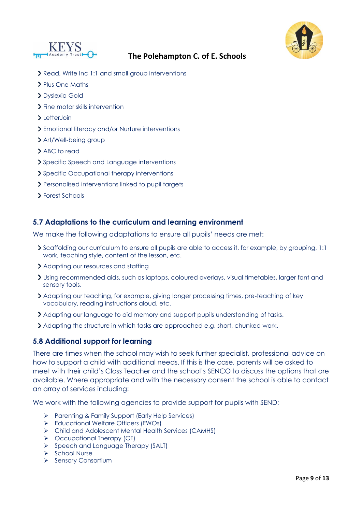



- Read, Write Inc 1:1 and small group interventions
- Plus One Maths
- Dyslexia Gold
- > Fine motor skills intervention
- $\blacktriangleright$  Letter Join
- Emotional literacy and/or Nurture interventions
- > Art/Well-being group
- > ABC to read
- Specific Speech and Language interventions
- > Specific Occupational therapy interventions
- Personalised interventions linked to pupil targets
- Forest Schools

#### **5.7 Adaptations to the curriculum and learning environment**

We make the following adaptations to ensure all pupils' needs are met:

- Scaffolding our curriculum to ensure all pupils are able to access it, for example, by grouping, 1:1 work, teaching style, content of the lesson, etc.
- Adapting our resources and staffing
- Using recommended aids, such as laptops, coloured overlays, visual timetables, larger font and sensory tools.
- Adapting our teaching, for example, giving longer processing times, pre-teaching of key vocabulary, reading instructions aloud, etc.
- Adapting our language to aid memory and support pupils understanding of tasks.
- Adapting the structure in which tasks are approached e.g. short, chunked work.

### **5.8 Additional support for learning**

There are times when the school may wish to seek further specialist, professional advice on how to support a child with additional needs. If this is the case, parents will be asked to meet with their child's Class Teacher and the school's SENCO to discuss the options that are available. Where appropriate and with the necessary consent the school is able to contact an array of services including:

We work with the following agencies to provide support for pupils with SEND:

- ➢ Parenting & Family Support (Early Help Services)
- ➢ Educational Welfare Officers (EWOs)
- ➢ Child and Adolescent Mental Health Services (CAMHS)
- ➢ Occupational Therapy (OT)
- ➢ Speech and Language Therapy (SALT)
- ➢ School Nurse
- ➢ Sensory Consortium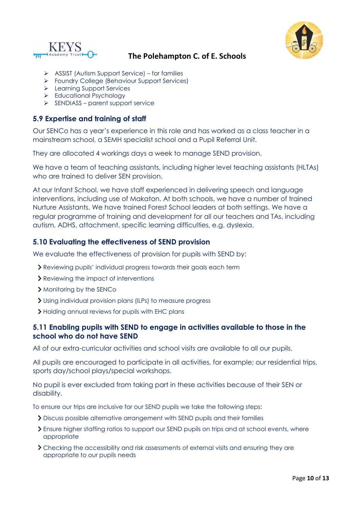



- ➢ ASSIST (Autism Support Service) for families
- ➢ Foundry College (Behaviour Support Services)
- ➢ Learning Support Services
- ➢ Educational Psychology
- ➢ SENDIASS parent support service

## **5.9 Expertise and training of staff**

Our SENCo has a year's experience in this role and has worked as a class teacher in a mainstream school, a SEMH specialist school and a Pupil Referral Unit.

They are allocated 4 workings days a week to manage SEND provision.

We have a team of teaching assistants, including higher level teaching assistants (HLTAs) who are trained to deliver SEN provision.

At our Infant School, we have staff experienced in delivering speech and language interventions, including use of Makaton. At both schools, we have a number of trained Nurture Assistants. We have trained Forest School leaders at both settings. We have a regular programme of training and development for all our teachers and TAs, including autism, ADHS, attachment, specific learning difficulties, e.g. dyslexia.

## **5.10 Evaluating the effectiveness of SEND provision**

We evaluate the effectiveness of provision for pupils with SEND by:

- Reviewing pupils' individual progress towards their goals each term
- > Reviewing the impact of interventions
- Monitoring by the SENCo
- Using individual provision plans (ILPs) to measure progress
- > Holding annual reviews for pupils with EHC plans

### **5.11 Enabling pupils with SEND to engage in activities available to those in the school who do not have SEND**

All of our extra-curricular activities and school visits are available to all our pupils.

All pupils are encouraged to participate in all activities, for example; our residential trips, sports day/school plays/special workshops.

No pupil is ever excluded from taking part in these activities because of their SEN or disability.

To ensure our trips are inclusive for our SEND pupils we take the following steps:

- Discuss possible alternative arrangement with SEND pupils and their families
- Ensure higher staffing ratios to support our SEND pupils on trips and at school events, where appropriate
- Checking the accessibility and risk assessments of external visits and ensuring they are appropriate to our pupils needs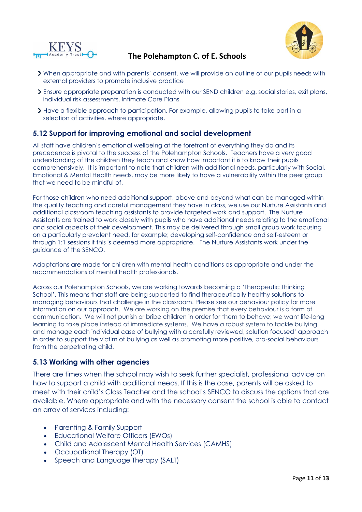



- When appropriate and with parents' consent, we will provide an outline of our pupils needs with external providers to promote inclusive practice
- Ensure appropriate preparation is conducted with our SEND children e.g. social stories, exit plans, individual risk assessments, Intimate Care Plans
- Have a flexible approach to participation. For example, allowing pupils to take part in a selection of activities, where appropriate.

## **5.12 Support for improving emotional and social development**

All staff have children's emotional wellbeing at the forefront of everything they do and its precedence is pivotal to the success of the Polehampton Schools. Teachers have a very good understanding of the children they teach and know how important it is to know their pupils comprehensively. It is important to note that children with additional needs, particularly with Social, Emotional & Mental Health needs, may be more likely to have a vulnerability within the peer group that we need to be mindful of.

For those children who need additional support, above and beyond what can be managed within the quality teaching and careful management they have in class, we use our Nurture Assistants and additional classroom teaching assistants to provide targeted work and support. The Nurture Assistants are trained to work closely with pupils who have additional needs relating to the emotional and social aspects of their development. This may be delivered through small group work focusing on a particularly prevalent need, for example; developing self-confidence and self-esteem or through 1:1 sessions if this is deemed more appropriate. The Nurture Assistants work under the guidance of the SENCO.

Adaptations are made for children with mental health conditions as appropriate and under the recommendations of mental health professionals.

Across our Polehampton Schools, we are working towards becoming a 'Therapeutic Thinking School'. This means that staff are being supported to find therapeutically healthy solutions to managing behaviours that challenge in the classroom. Please see our behaviour policy for more information on our approach. We are working on the premise that every behaviour is a form of communication. We will not punish or bribe children in order for them to behave; we want life-long learning to take place instead of immediate systems. We have a robust system to tackle bullying and manage each individual case of bullying with a carefully reviewed, solution focused' approach in order to support the victim of bullying as well as promoting more positive, pro-social behaviours from the perpetrating child.

### **5.13 Working with other agencies**

There are times when the school may wish to seek further specialist, professional advice on how to support a child with additional needs. If this is the case, parents will be asked to meet with their child's Class Teacher and the school's SENCO to discuss the options that are available. Where appropriate and with the necessary consent the school is able to contact an array of services including:

- Parenting & Family Support
- Educational Welfare Officers (EWOs)
- Child and Adolescent Mental Health Services (CAMHS)
- Occupational Therapy (OT)
- Speech and Language Therapy (SALT)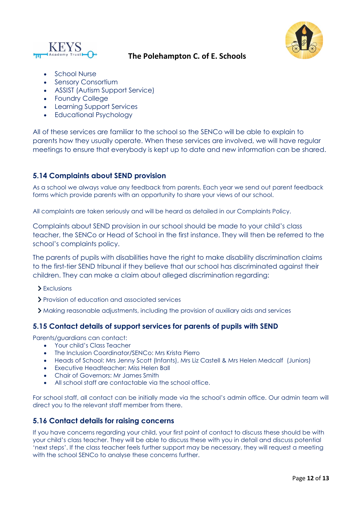



- School Nurse
- Sensory Consortium
- ASSIST (Autism Support Service)
- Foundry College
- Learning Support Services
- Educational Psychology

All of these services are familiar to the school so the SENCo will be able to explain to parents how they usually operate. When these services are involved, we will have regular meetings to ensure that everybody is kept up to date and new information can be shared.

## **5.14 Complaints about SEND provision**

As a school we always value any feedback from parents. Each year we send out parent feedback forms which provide parents with an opportunity to share your views of our school.

All complaints are taken seriously and will be heard as detailed in our Complaints Policy.

Complaints about SEND provision in our school should be made to your child's class teacher, the SENCo or Head of School in the first instance. They will then be referred to the school's complaints policy.

The parents of pupils with disabilities have the right to make disability discrimination claims to the first-tier SEND tribunal if they believe that our school has discriminated against their children. They can make a claim about alleged discrimination regarding:

- > Exclusions
- Provision of education and associated services
- Making reasonable adjustments, including the provision of auxiliary aids and services

### **5.15 Contact details of support services for parents of pupils with SEND**

Parents/guardians can contact:

- Your child's Class Teacher
- The Inclusion Coordinator/SENCo: Mrs Krista Pierro
- Heads of School: Mrs Jenny Scott (Infants), Mrs Liz Castell & Mrs Helen Medcalf (Juniors)
- Executive Headteacher: Miss Helen Ball
- Chair of Governors: Mr James Smith
- All school staff are contactable via the school office.

For school staff, all contact can be initially made via the school's admin office. Our admin team will direct you to the relevant staff member from there.

### **5.16 Contact details for raising concerns**

If you have concerns regarding your child, your first point of contact to discuss these should be with your child's class teacher. They will be able to discuss these with you in detail and discuss potential 'next steps'. If the class teacher feels further support may be necessary, they will request a meeting with the school SENCo to analyse these concerns further.